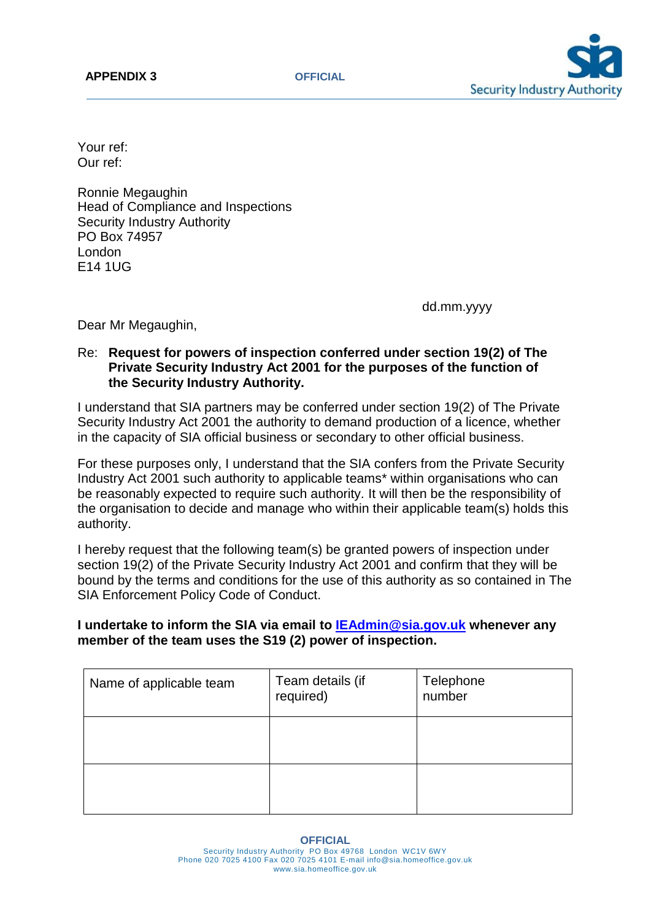

Your ref: Our ref:

Ronnie Megaughin Head of Compliance and Inspections Security Industry Authority PO Box 74957 London E14 1UG

dd.mm.yyyy

Dear Mr Megaughin,

## Re: **Request for powers of inspection conferred under section 19(2) of The Private Security Industry Act 2001 for the purposes of the function of the Security Industry Authority.**

I understand that SIA partners may be conferred under section 19(2) of The Private Security Industry Act 2001 the authority to demand production of a licence, whether in the capacity of SIA official business or secondary to other official business.

For these purposes only, I understand that the SIA confers from the Private Security Industry Act 2001 such authority to applicable teams\* within organisations who can be reasonably expected to require such authority. It will then be the responsibility of the organisation to decide and manage who within their applicable team(s) holds this authority.

I hereby request that the following team(s) be granted powers of inspection under section 19(2) of the Private Security Industry Act 2001 and confirm that they will be bound by the terms and conditions for the use of this authority as so contained in The SIA Enforcement Policy Code of Conduct.

## **I undertake to inform the SIA via email to [IEAdmin@sia.gov.uk](mailto:IEAdmin@sia.gov.uk) whenever any member of the team uses the S19 (2) power of inspection.**

| Name of applicable team | Team details (if<br>required) | Telephone<br>number |
|-------------------------|-------------------------------|---------------------|
|                         |                               |                     |
|                         |                               |                     |